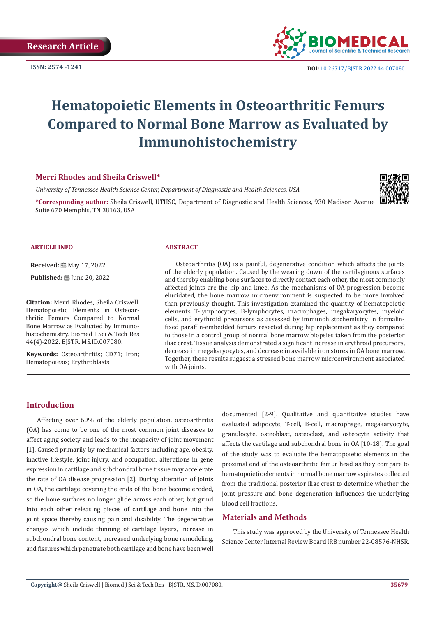

# **Hematopoietic Elements in Osteoarthritic Femurs Compared to Normal Bone Marrow as Evaluated by Immunohistochemistry**

#### **Merri Rhodes and Sheila Criswell\***

*University of Tennessee Health Science Center, Department of Diagnostic and Health Sciences, USA*

**\*Corresponding author:** Sheila Criswell, UTHSC, Department of Diagnostic and Health Sciences, 930 Madison Avenue Suite 670 Memphis, TN 38163, USA



#### **ARTICLE INFO ABSTRACT**

**Received:** 圖 May 17, 2022

**Published:** ■ June 20, 2022

**Citation:** Merri Rhodes, Sheila Criswell. Hematopoietic Elements in Osteoarthritic Femurs Compared to Normal Bone Marrow as Evaluated by Immunohistochemistry. Biomed J Sci & Tech Res 44(4)-2022. BJSTR. MS.ID.007080.

**Keywords:** Osteoarthritis; CD71; Iron; Hematopoiesis; Erythroblasts

Osteoarthritis (OA) is a painful, degenerative condition which affects the joints of the elderly population. Caused by the wearing down of the cartilaginous surfaces and thereby enabling bone surfaces to directly contact each other, the most commonly affected joints are the hip and knee. As the mechanisms of OA progression become elucidated, the bone marrow microenvironment is suspected to be more involved than previously thought. This investigation examined the quantity of hematopoietic elements T-lymphocytes, B-lymphocytes, macrophages, megakaryocytes, myeloid cells, and erythroid precursors as assessed by immunohistochemistry in formalinfixed paraffin-embedded femurs resected during hip replacement as they compared to those in a control group of normal bone marrow biopsies taken from the posterior iliac crest. Tissue analysis demonstrated a significant increase in erythroid precursors, decrease in megakaryocytes, and decrease in available iron stores in OA bone marrow. Together, these results suggest a stressed bone marrow microenvironment associated with OA joints.

#### **Introduction**

Affecting over 60% of the elderly population, osteoarthritis (OA) has come to be one of the most common joint diseases to affect aging society and leads to the incapacity of joint movement [1]. Caused primarily by mechanical factors including age, obesity, inactive lifestyle, joint injury, and occupation, alterations in gene expression in cartilage and subchondral bone tissue may accelerate the rate of OA disease progression [2]. During alteration of joints in OA, the cartilage covering the ends of the bone become eroded, so the bone surfaces no longer glide across each other, but grind into each other releasing pieces of cartilage and bone into the joint space thereby causing pain and disability. The degenerative changes which include thinning of cartilage layers, increase in subchondral bone content, increased underlying bone remodeling, and fissures which penetrate both cartilage and bone have been well

documented [2-9]. Qualitative and quantitative studies have evaluated adipocyte, T-cell, B-cell, macrophage, megakaryocyte, granulocyte, osteoblast, osteoclast, and osteocyte activity that affects the cartilage and subchondral bone in OA [10-18]. The goal of the study was to evaluate the hematopoietic elements in the proximal end of the osteoarthritic femur head as they compare to hematopoietic elements in normal bone marrow aspirates collected from the traditional posterior iliac crest to determine whether the joint pressure and bone degeneration influences the underlying blood cell fractions.

## **Materials and Methods**

This study was approved by the University of Tennessee Health Science Center Internal Review Board IRB number 22-08576-NHSR.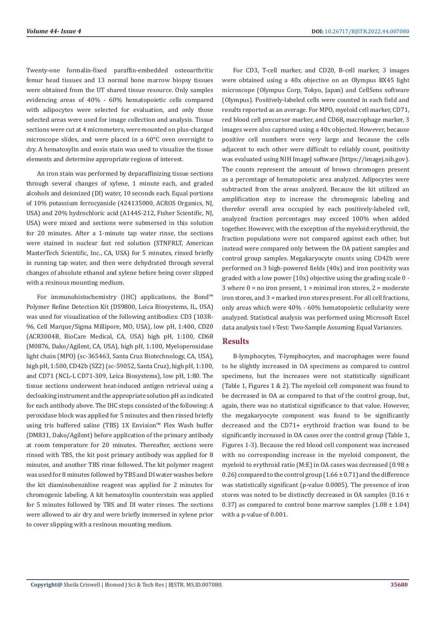Twenty-one formalin-fixed paraffin-embedded osteoarthritic femur head tissues and 13 normal bone marrow biopsy tissues were obtained from the UT shared tissue resource. Only samples evidencing areas of 40% - 60% hematopoietic cells compared with adipocytes were selected for evaluation, and only those selected areas were used for image collection and analysis. Tissue sections were cut at 4 micrometers, were mounted on plus-charged microscope slides, and were placed in a 60°C oven overnight to dry. A hematoxylin and eosin stain was used to visualize the tissue elements and determine appropriate regions of interest.

An iron stain was performed by deparaffinizing tissue sections through several changes of xylene, 1 minute each, and graded alcohols and deionized (DI) water, 10 seconds each. Equal portions of 10% potassium ferrocyanide (424135000, ACROS Organics, NJ, USA) and 20% hydrochloric acid (A144S-212, Fisher Scientific, NJ, USA) were mixed and sections were submersed in this solution for 20 minutes. After a 1-minute tap water rinse, the sections were stained in nuclear fast red solution (STNFRLT, American MasterTech Scientific, Inc., CA, USA) for 5 minutes, rinsed briefly in running tap water, and then were dehydrated through several changes of absolute ethanol and xylene before being cover slipped with a resinous mounting medium.

For immunohistochemistry (IHC) applications, the Bond™ Polymer Refine Detection Kit (DS9800, Leica Biosystems, IL, USA) was used for visualization of the following antibodies: CD3 (103R-96, Cell Marque/Sigma Millipore, MO, USA), low pH, 1:400, CD20 (ACR3004B, BioCare Medical, CA, USA) high pH, 1:100, CD68 (M0876, Dako/Agilent, CA, USA), high pH, 1:100, Myeloperoxidase light chain (MPO) (sc-365463, Santa Cruz Biotechnology, CA, USA), high pH, 1:500, CD42b (SZ2) (sc-59052, Santa Cruz), high pH, 1:100, and CD71 (NCL-L CD71-309, Leica Biosystems), low pH, 1:80. The tissue sections underwent heat-induced antigen retrieval using a decloaking instrument and the appropriate solution pH as indicated for each antibody above. The IHC steps consisted of the following: A peroxidase block was applied for 5 minutes and then rinsed briefly using tris buffered saline (TBS) 1X Envision™ Flex Wash buffer (DM831, Dako/Agilent) before application of the primary antibody at room temperature for 20 minutes. Thereafter, sections were rinsed with TBS, the kit post primary antibody was applied for 8 minutes, and another TBS rinse followed. The kit polymer reagent was used for 8 minutes followed by TBS and DI water washes before the kit diaminobenzidine reagent was applied for 2 minutes for chromogenic labeling. A kit hematoxylin counterstain was applied for 5 minutes followed by TBS and DI water rinses. The sections were allowed to air dry and were briefly immersed in xylene prior to cover slipping with a resinous mounting medium.

For CD3, T-cell marker, and CD20, B-cell marker, 3 images were obtained using a 40x objective on an Olympus BX45 light microscope (Olympus Corp, Tokyo, Japan) and CellSens software (Olympus). Positively-labeled cells were counted in each field and results reported as an average. For MPO, myeloid cell marker, CD71, red blood cell precursor marker, and CD68, macrophage marker, 3 images were also captured using a 40x objected. However, because positive cell numbers were very large and because the cells adjacent to each other were difficult to reliably count, positivity was evaluated using NIH ImageJ software (https://imagej.nih.gov). The counts represent the amount of brown chromogen present as a percentage of hematopoietic area analyzed. Adipocytes were subtracted from the areas analyzed. Because the kit utilized an amplification step to increase the chromogenic labeling and therefor overall area occupied by each positively-labeled cell, analyzed fraction percentages may exceed 100% when added together. However, with the exception of the myeloid:erythroid, the fraction populations were not compared against each other, but instead were compared only between the OA patient samples and control group samples. Megakaryocyte counts using CD42b were performed on 3 high-powered fields (40x) and iron positivity was graded with a low power (10x) objective using the grading scale 0 - 3 where  $0 =$  no iron present,  $1 =$  minimal iron stores,  $2 =$  moderate iron stores, and 3 = marked iron stores present. For all cell fractions, only areas which were 40% - 60% hematopoietic cellularity were analyzed. Statistical analysis was performed using Microsoft Excel data analysis tool t-Test: Two-Sample Assuming Equal Variances.

#### **Results**

B-lymphocytes, T-lymphocytes, and macrophages were found to be slightly increased in OA specimens as compared to control specimens, but the increases were not statistically significant (Table 1, Figures 1 & 2). The myeloid cell component was found to be decreased in OA as compared to that of the control group, but, again, there was no statistical significance to that value. However, the megakaryocyte component was found to be significantly decreased and the CD71+ erythroid fraction was found to be significantly increased in OA cases over the control group (Table 1, Figures 1-3). Because the red blood cell component was increased with no corresponding increase in the myeloid component, the myeloid to erythroid ratio (M:E) in OA cases was decreased (0.98  $\pm$ 0.26) compared to the control group  $(1.66 \pm 0.71)$  and the difference was statistically significant (p-value 0.0005). The presence of iron stores was noted to be distinctly decreased in OA samples ( $0.16 \pm$ 0.37) as compared to control bone marrow samples  $(1.08 \pm 1.04)$ with a p-value of 0.001.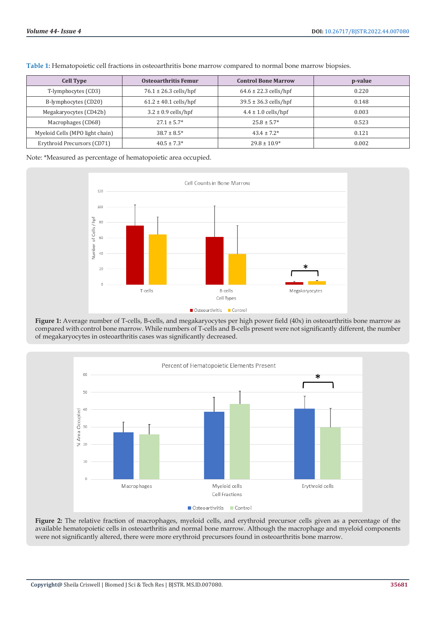| <b>Cell Type</b>                | Osteoarthritis Femur      | <b>Control Bone Marrow</b> | p-value |
|---------------------------------|---------------------------|----------------------------|---------|
| T-lymphocytes (CD3)             | $76.1 \pm 26.3$ cells/hpf | $64.6 \pm 22.3$ cells/hpf  | 0.220   |
| B-lymphocytes (CD20)            | $61.2 \pm 40.1$ cells/hpf | $39.5 \pm 36.3$ cells/hpf  | 0.148   |
| Megakaryocytes (CD42b)          | $3.2 \pm 0.9$ cells/hpf   | $4.4 \pm 1.0$ cells/hpf    | 0.003   |
| Macrophages (CD68)              | $27.1 \pm 5.7^*$          | $25.8 \pm 5.7*$            | 0.523   |
| Myeloid Cells (MPO light chain) | $38.7 \pm 8.5^*$          | $43.4 \pm 7.2^*$           | 0.121   |
| Erythroid Precursors (CD71)     | $40.5 \pm 7.3*$           | $29.8 \pm 10.9*$           | 0.002   |

**Table 1:** Hematopoietic cell fractions in osteoarthritis bone marrow compared to normal bone marrow biopsies.

Note: \*Measured as percentage of hematopoietic area occupied.



**Figure 1:** Average number of T-cells, B-cells, and megakaryocytes per high power field (40x) in osteoarthritis bone marrow as compared with control bone marrow. While numbers of T-cells and B-cells present were not significantly different, the number of megakaryocytes in osteoarthritis cases was significantly decreased.



**Figure 2:** The relative fraction of macrophages, myeloid cells, and erythroid precursor cells given as a percentage of the available hematopoietic cells in osteoarthritis and normal bone marrow. Although the macrophage and myeloid components were not significantly altered, there were more erythroid precursors found in osteoarthritis bone marrow.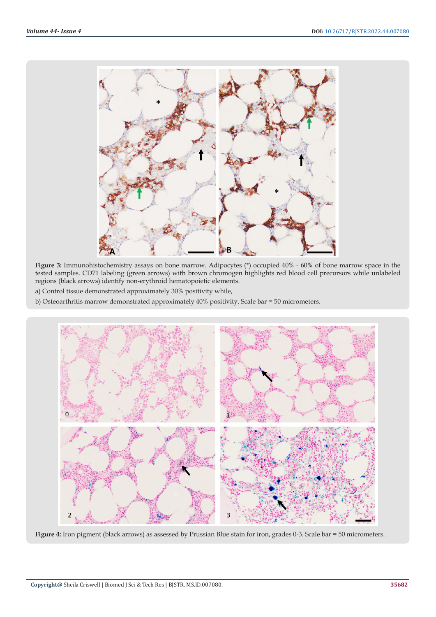

**Figure 3:** Immunohistochemistry assays on bone marrow. Adipocytes (\*) occupied 40% - 60% of bone marrow space in the tested samples. CD71 labeling (green arrows) with brown chromogen highlights red blood cell precursors while unlabeled regions (black arrows) identify non-erythroid hematopoietic elements.

a) Control tissue demonstrated approximately 30% positivity while,

b) Osteoarthritis marrow demonstrated approximately 40% positivity. Scale bar = 50 micrometers.



**Figure 4:** Iron pigment (black arrows) as assessed by Prussian Blue stain for iron, grades 0-3. Scale bar = 50 micrometers.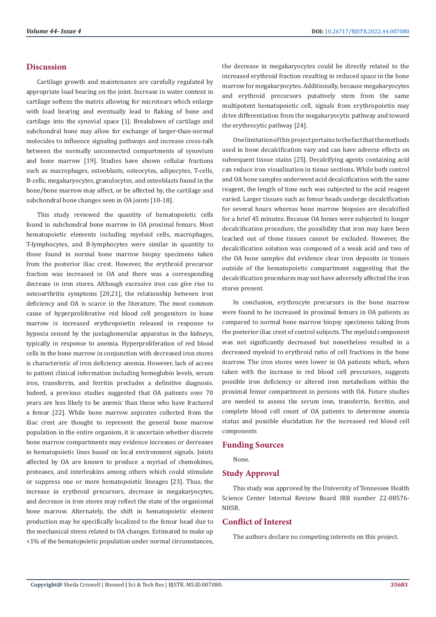### **Discussion**

Cartilage growth and maintenance are carefully regulated by appropriate load bearing on the joint. Increase in water content in cartilage softens the matrix allowing for microtears which enlarge with load bearing and eventually lead to flaking of bone and cartilage into the synovial space [1]. Breakdown of cartilage and subchondral bone may allow for exchange of larger-than-normal molecules to influence signaling pathways and increase cross-talk between the normally unconnected compartments of synovium and bone marrow [19]. Studies have shown cellular fractions such as macrophages, osteoblasts, osteocytes, adipocytes, T-cells, B-cells, megakaryocytes, granulocytes, and osteoblasts found in the bone/bone marrow may affect, or be affected by, the cartilage and subchondral bone changes seen in OA joints [10-18].

This study reviewed the quantity of hematopoietic cells found in subchondral bone marrow in OA proximal femurs. Most hematopoietic elements including myeloid cells, macrophages, T-lymphocytes, and B-lymphocytes were similar in quantity to those found in normal bone marrow biopsy specimens taken from the posterior iliac crest. However, the erythroid precursor fraction was increased in OA and there was a corresponding decrease in iron stores. Although excessive iron can give rise to osteoarthritis symptoms [20,21], the relationship between iron deficiency and OA is scarce in the literature. The most common cause of hyperproliferative red blood cell progenitors in bone marrow is increased erythropoietin released in response to hypoxia sensed by the juxtaglomerular apparatus in the kidneys, typically in response to anemia. Hyperproliferation of red blood cells in the bone marrow in conjunction with decreased iron stores is characteristic of iron deficiency anemia. However, lack of access to patient clinical information including hemoglobin levels, serum iron, transferrin, and ferritin precludes a definitive diagnosis. Indeed, a previous studies suggested that OA patients over 70 years are less likely to be anemic than those who have fractured a femur [22]. While bone marrow aspirates collected from the iliac crest are thought to represent the general bone marrow population in the entire organism, it is uncertain whether discrete bone marrow compartments may evidence increases or decreases in hematopoietic lines based on local environment signals. Joints affected by OA are known to produce a myriad of chemokines, proteases, and interleukins among others which could stimulate or suppress one or more hematopoietic lineages [23]. Thus, the increase in erythroid precursors, decrease in megakaryocytes, and decrease in iron stores may reflect the state of the organismal bone marrow. Alternately, the shift in hematopoietic element production may be specifically localized to the femur head due to the mechanical stress related to OA changes. Estimated to make up <1% of the hematopoietic population under normal circumstances,

the decrease in megakaryocytes could be directly related to the increased erythroid fraction resulting in reduced space in the bone marrow for megakaryocytes. Additionally, because megakaryocytes and erythroid precursors putatively stem from the same multipotent hematopoietic cell, signals from erythropoietin may drive differentiation from the megakaryocytic pathway and toward the erythrocytic pathway [24].

One limitation of this project pertains to the fact that the methods used in bone decalcification vary and can have adverse effects on subsequent tissue stains [25]. Decalcifying agents containing acid can reduce iron visualization in tissue sections. While both control and OA bone samples underwent acid decalcification with the same reagent, the length of time each was subjected to the acid reagent varied. Larger tissues such as femur heads undergo decalcification for several hours whereas bone marrow biopsies are decalcified for a brief 45 minutes. Because OA bones were subjected to longer decalcification procedure, the possibility that iron may have been leached out of those tissues cannot be excluded. However, the decalcification solution was composed of a weak acid and two of the OA bone samples did evidence clear iron deposits in tissues outside of the hematopoietic compartment suggesting that the decalcification procedures may not have adversely affected the iron stores present.

In conclusion, erythrocyte precursors in the bone marrow were found to be increased in proximal femurs in OA patients as compared to normal bone marrow biopsy specimens taking from the posterior iliac crest of control subjects. The myeloid component was not significantly decreased but nonetheless resulted in a decreased myeloid to erythroid ratio of cell fractions in the bone marrow. The iron stores were lower in OA patients which, when taken with the increase in red blood cell precursors, suggests possible iron deficiency or altered iron metabolism within the proximal femur compartment in persons with OA. Future studies are needed to assess the serum iron, transferrin, ferritin, and complete blood cell count of OA patients to determine anemia status and possible elucidation for the increased red blood cell components

#### **Funding Sources**

None.

#### **Study Approval**

This study was approved by the University of Tennessee Health Science Center Internal Review Board IRB number 22-08576- **NHSR** 

#### **Conflict of Interest**

The authors declare no competing interests on this project.